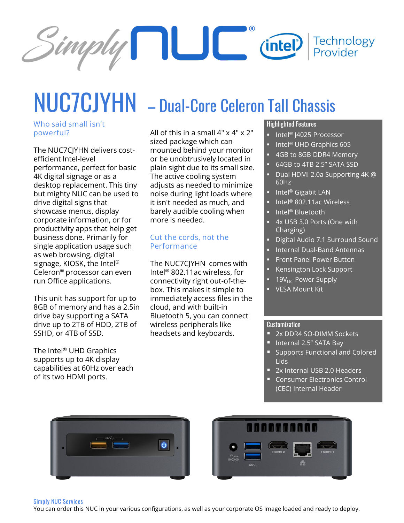

# NUC7CJYHN – Dual-Core Celeron Tall Chassis

#### **Who said small isn't powerful?**

The NUC7CJYHN delivers costefficient Intel-level performance, perfect for basic 4K digital signage or as a desktop replacement. This tiny but mighty NUC can be used to drive digital signs that showcase menus, display corporate information, or for productivity apps that help get business done. Primarily for single application usage such as web browsing, digital signage, KIOSK, the Intel® Celeron® processor can even run Office applications.

This unit has support for up to 8GB of memory and has a 2.5in drive bay supporting a SATA drive up to 2TB of HDD, 2TB of SSHD, or 4TB of SSD.

The Intel® UHD Graphics supports up to 4K display capabilities at 60Hz over each of its two HDMI ports.

All of this in a small 4" x 4" x 2" sized package which can mounted behind your monitor or be unobtrusively located in plain sight due to its small size. The active cooling system adjusts as needed to minimize noise during light loads where it isn't needed as much, and barely audible cooling when more is needed.

#### **Cut the cords, not the Performance**

The NUC7CJYHN comes with Intel® 802.11ac wireless, for connectivity right out-of-thebox. This makes it simple to immediately access files in the cloud, and with built-in Bluetooth 5, you can connect wireless peripherals like headsets and keyboards.

### Highlighted Features

- Intel® J4025 Processor
- Intel<sup>®</sup> UHD Graphics 605
- 4GB to 8GB DDR4 Memory
- 64GB to 4TB 2.5" SATA SSD
- Dual HDMI 2.0a Supporting 4K @ 60Hz
- Intel® Gigabit LAN
- Intel® 802.11ac Wireless
- Intel<sup>®</sup> Bluetooth
- 4x USB 3.0 Ports (One with Charging)
- Digital Audio 7.1 Surround Sound
- **■** Internal Dual-Band Antennas
- **Front Panel Power Button**
- Kensington Lock Support
- 19V<sub>DC</sub> Power Supply
- VESA Mount Kit

#### **Customization**

- 2x DDR4 SO-DIMM Sockets
- Internal 2.5" SATA Bay
- Supports Functional and Colored Lids
- 2x Internal USB 2.0 Headers
- Consumer Electronics Control (CEC) Internal Header





#### **Simply NUC Services**

You can order this NUC in your various configurations, as well as your corporate OS Image loaded and ready to deploy.